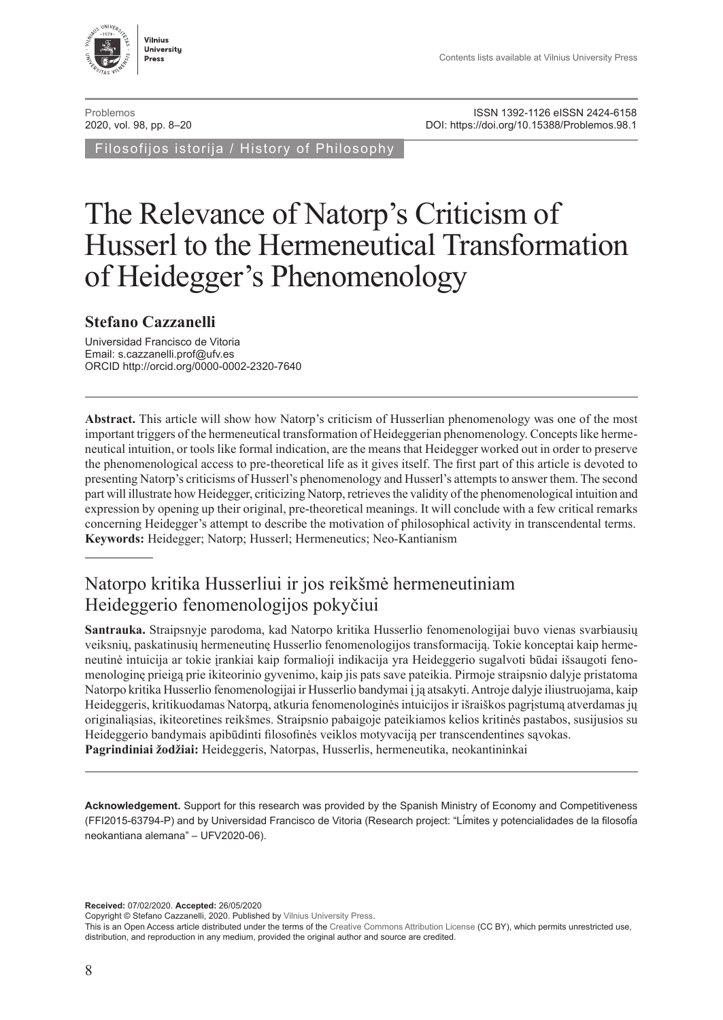

[Problemos](http://www.journals.vu.lt/problemos)<br>2020, vol. 98, pp. 8–20<br>20. DOI: https://doi.org/10.15388/Problemos.98.1 DOI:<https://doi.org/10.15388/Problemos.98.1>

Filosofijos istorija / History of Philosophy

# The Relevance of Natorp's Criticism of Husserl to the Hermeneutical Transformation of Heidegger's Phenomenology

#### **Stefano Cazzanelli**

Universidad Francisco de Vitoria Email: [s.cazzanelli.prof@ufv.es](mailto:s.cazzanelli.prof%40ufv.es?subject=) ORCID http://orcid.org/[0000-0002-2320-7640](https://orcid.org/0000-0002-2320-7640)

**Abstract.** This article will show how Natorp's criticism of Husserlian phenomenology was one of the most important triggers of the hermeneutical transformation of Heideggerian phenomenology. Concepts like hermeneutical intuition, or tools like formal indication, are the means that Heidegger worked out in order to preserve the phenomenological access to pre-theoretical life as it gives itself. The first part of this article is devoted to presenting Natorp's criticisms of Husserl's phenomenology and Husserl's attempts to answer them. The second part will illustrate how Heidegger, criticizing Natorp, retrieves the validity of the phenomenological intuition and expression by opening up their original, pre-theoretical meanings. It will conclude with a few critical remarks concerning Heidegger's attempt to describe the motivation of philosophical activity in transcendental terms. **Keywords:** Heidegger; Natorp; Husserl; Hermeneutics; Neo-Kantianism

# Natorpo kritika Husserliui ir jos reikšmė hermeneutiniam Heideggerio fenomenologijos pokyčiui

**Santrauka.** Straipsnyje parodoma, kad Natorpo kritika Husserlio fenomenologijai buvo vienas svarbiausių veiksnių, paskatinusių hermeneutinę Husserlio fenomenologijos transformaciją. Tokie konceptai kaip hermeneutinė intuicija ar tokie įrankiai kaip formalioji indikacija yra Heideggerio sugalvoti būdai išsaugoti fenomenologinę prieigą prie ikiteorinio gyvenimo, kaip jis pats save pateikia. Pirmoje straipsnio dalyje pristatoma Natorpo kritika Husserlio fenomenologijai ir Husserlio bandymai į ją atsakyti. Antroje dalyje iliustruojama, kaip Heideggeris, kritikuodamas Natorpą, atkuria fenomenologinės intuicijos ir išraiškos pagrįstumą atverdamas jų originaliąsias, ikiteoretines reikšmes. Straipsnio pabaigoje pateikiamos kelios kritinės pastabos, susijusios su Heideggerio bandymais apibūdinti filosofinės veiklos motyvaciją per transcendentines sąvokas. **Pagrindiniai žodžiai:** Heideggeris, Natorpas, Husserlis, hermeneutika, neokantininkai

**Acknowledgement.** Support for this research was provided by the Spanish Ministry of Economy and Competitiveness (FFI2015-63794-P) and by Universidad Francisco de Vitoria (Research project: "Límites y potencialidades de la filosofía neokantiana alemana" – UFV2020-06).

**Received:** 07/02/2020. **Accepted:** 26/05/2020

Copyright © Stefano Cazzanelli, 2020. Published by [Vilnius University Press.](https://www.vu.lt/leidyba/en/)

This is an Open Access article distributed under the terms of the [Creative Commons Attribution License](https://creativecommons.org/licenses/by/4.0/) (CC BY), which permits unrestricted use, distribution, and reproduction in any medium, provided the original author and source are credited.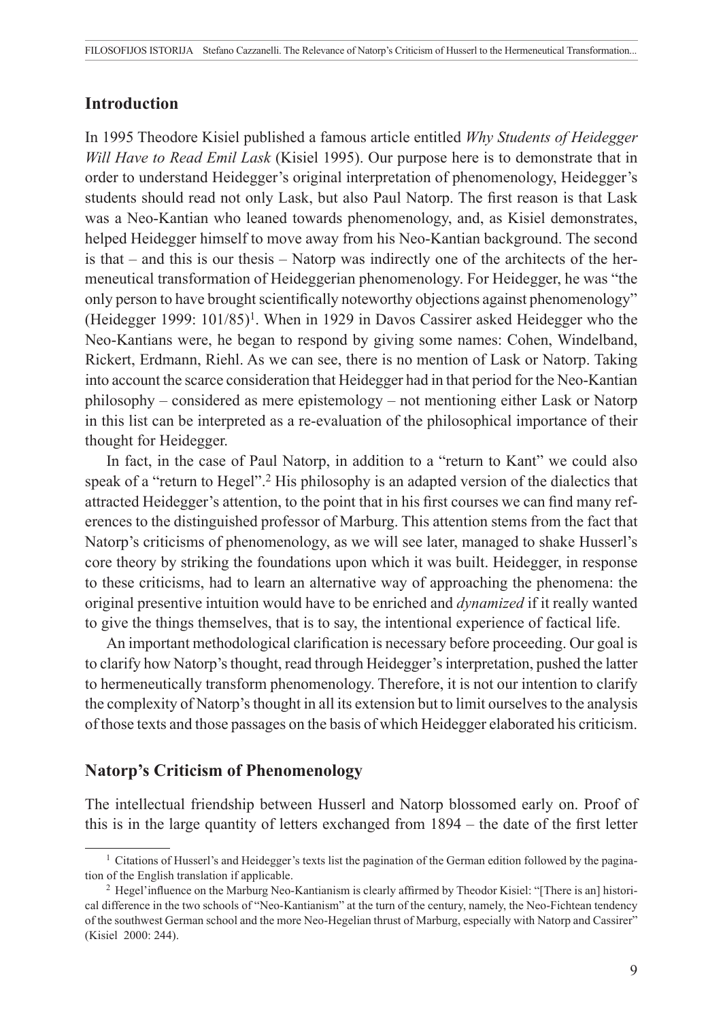#### **Introduction**

In 1995 Theodore Kisiel published a famous article entitled *Why Students of Heidegger Will Have to Read Emil Lask* (Kisiel 1995). Our purpose here is to demonstrate that in order to understand Heidegger's original interpretation of phenomenology, Heidegger's students should read not only Lask, but also Paul Natorp. The first reason is that Lask was a Neo-Kantian who leaned towards phenomenology, and, as Kisiel demonstrates, helped Heidegger himself to move away from his Neo-Kantian background. The second is that – and this is our thesis – Natorp was indirectly one of the architects of the hermeneutical transformation of Heideggerian phenomenology. For Heidegger, he was "the only person to have brought scientifically noteworthy objections against phenomenology" (Heidegger 1999:  $101/85$ <sup>1</sup>. When in 1929 in Davos Cassirer asked Heidegger who the Neo-Kantians were, he began to respond by giving some names: Cohen, Windelband, Rickert, Erdmann, Riehl. As we can see, there is no mention of Lask or Natorp. Taking into account the scarce consideration that Heidegger had in that period for the Neo-Kantian philosophy – considered as mere epistemology – not mentioning either Lask or Natorp in this list can be interpreted as a re-evaluation of the philosophical importance of their thought for Heidegger.

In fact, in the case of Paul Natorp, in addition to a "return to Kant" we could also speak of a "return to Hegel".<sup>2</sup> His philosophy is an adapted version of the dialectics that attracted Heidegger's attention, to the point that in his first courses we can find many references to the distinguished professor of Marburg. This attention stems from the fact that Natorp's criticisms of phenomenology, as we will see later, managed to shake Husserl's core theory by striking the foundations upon which it was built. Heidegger, in response to these criticisms, had to learn an alternative way of approaching the phenomena: the original presentive intuition would have to be enriched and *dynamized* if it really wanted to give the things themselves, that is to say, the intentional experience of factical life.

An important methodological clarification is necessary before proceeding. Our goal is to clarify how Natorp's thought, read through Heidegger's interpretation, pushed the latter to hermeneutically transform phenomenology. Therefore, it is not our intention to clarify the complexity of Natorp's thought in all its extension but to limit ourselves to the analysis of those texts and those passages on the basis of which Heidegger elaborated his criticism.

## **Natorp's Criticism of Phenomenology**

The intellectual friendship between Husserl and Natorp blossomed early on. Proof of this is in the large quantity of letters exchanged from 1894 – the date of the first letter

<sup>&</sup>lt;sup>1</sup> Citations of Husserl's and Heidegger's texts list the pagination of the German edition followed by the pagination of the English translation if applicable.

<sup>2</sup> Hegel'influence on the Marburg Neo-Kantianism is clearly affirmed by Theodor Kisiel: "[There is an] historical difference in the two schools of "Neo-Kantianism" at the turn of the century, namely, the Neo-Fichtean tendency of the southwest German school and the more Neo-Hegelian thrust of Marburg, especially with Natorp and Cassirer" (Kisiel 2000: 244).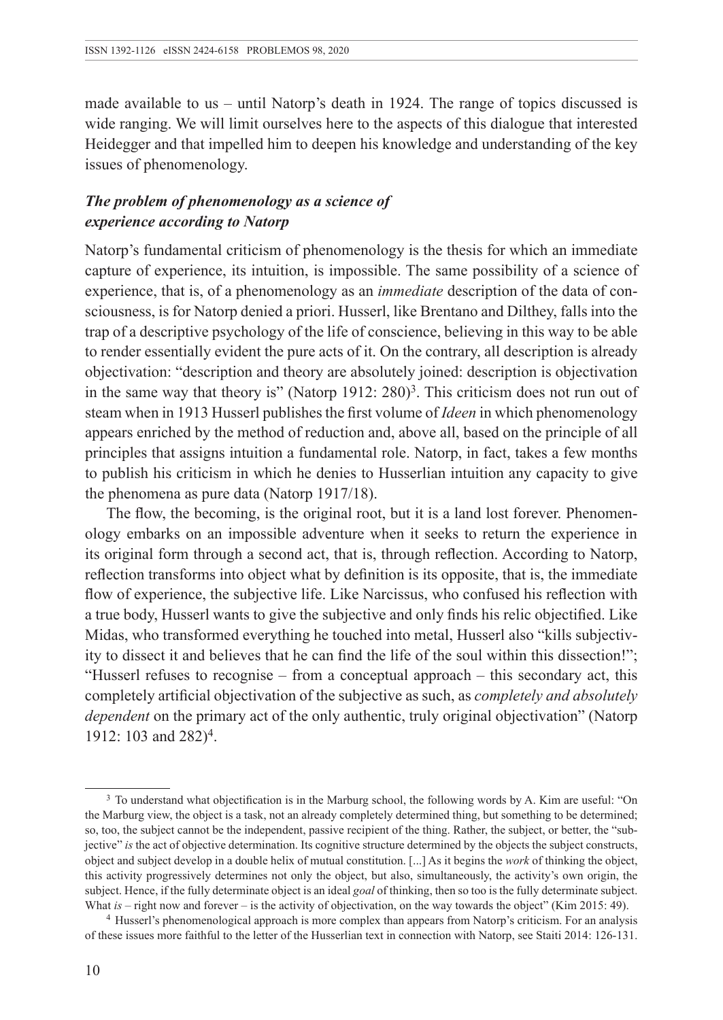made available to us – until Natorp's death in 1924. The range of topics discussed is wide ranging. We will limit ourselves here to the aspects of this dialogue that interested Heidegger and that impelled him to deepen his knowledge and understanding of the key issues of phenomenology.

## *The problem of phenomenology as a science of experience according to Natorp*

Natorp's fundamental criticism of phenomenology is the thesis for which an immediate capture of experience, its intuition, is impossible. The same possibility of a science of experience, that is, of a phenomenology as an *immediate* description of the data of consciousness, is for Natorp denied a priori. Husserl, like Brentano and Dilthey, falls into the trap of a descriptive psychology of the life of conscience, believing in this way to be able to render essentially evident the pure acts of it. On the contrary, all description is already objectivation: "description and theory are absolutely joined: description is objectivation in the same way that theory is" (Natorp 1912: 280)3. This criticism does not run out of steam when in 1913 Husserl publishes the first volume of *Ideen* in which phenomenology appears enriched by the method of reduction and, above all, based on the principle of all principles that assigns intuition a fundamental role. Natorp, in fact, takes a few months to publish his criticism in which he denies to Husserlian intuition any capacity to give the phenomena as pure data (Natorp 1917/18).

The flow, the becoming, is the original root, but it is a land lost forever. Phenomenology embarks on an impossible adventure when it seeks to return the experience in its original form through a second act, that is, through reflection. According to Natorp, reflection transforms into object what by definition is its opposite, that is, the immediate flow of experience, the subjective life. Like Narcissus, who confused his reflection with a true body, Husserl wants to give the subjective and only finds his relic objectified. Like Midas, who transformed everything he touched into metal, Husserl also "kills subjectivity to dissect it and believes that he can find the life of the soul within this dissection!"; "Husserl refuses to recognise – from a conceptual approach – this secondary act, this completely artificial objectivation of the subjective as such, as *completely and absolutely dependent* on the primary act of the only authentic, truly original objectivation" (Natorp 1912: 103 and 282)4.

<sup>3</sup> To understand what objectification is in the Marburg school, the following words by A. Kim are useful: "On the Marburg view, the object is a task, not an already completely determined thing, but something to be determined; so, too, the subject cannot be the independent, passive recipient of the thing. Rather, the subject, or better, the "subjective" *is* the act of objective determination. Its cognitive structure determined by the objects the subject constructs, object and subject develop in a double helix of mutual constitution. [...] As it begins the *work* of thinking the object, this activity progressively determines not only the object, but also, simultaneously, the activity's own origin, the subject. Hence, if the fully determinate object is an ideal *goal* of thinking, then so too is the fully determinate subject. What *is* – right now and forever – is the activity of objectivation, on the way towards the object" (Kim 2015: 49).

<sup>4</sup> Husserl's phenomenological approach is more complex than appears from Natorp's criticism. For an analysis of these issues more faithful to the letter of the Husserlian text in connection with Natorp, see Staiti 2014: 126-131.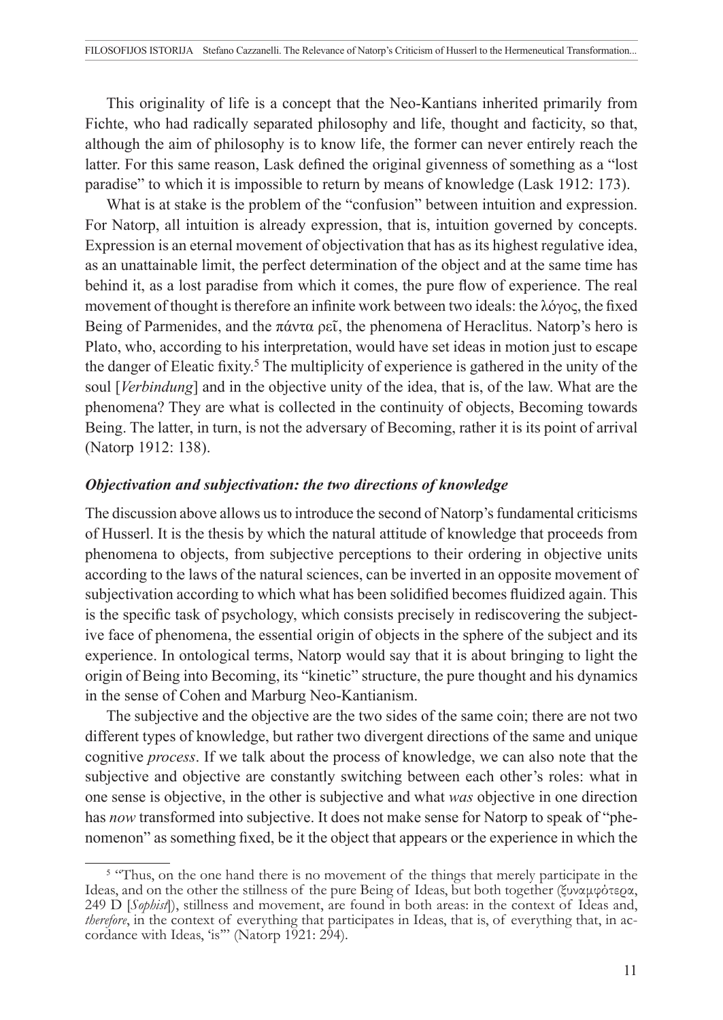This originality of life is a concept that the Neo-Kantians inherited primarily from Fichte, who had radically separated philosophy and life, thought and facticity, so that, although the aim of philosophy is to know life, the former can never entirely reach the latter. For this same reason, Lask defined the original givenness of something as a "lost paradise" to which it is impossible to return by means of knowledge (Lask 1912: 173).

What is at stake is the problem of the "confusion" between intuition and expression. For Natorp, all intuition is already expression, that is, intuition governed by concepts. Expression is an eternal movement of objectivation that has as its highest regulative idea, as an unattainable limit, the perfect determination of the object and at the same time has behind it, as a lost paradise from which it comes, the pure flow of experience. The real movement of thought is therefore an infinite work between two ideals: the λόγος, the fixed Being of Parmenides, and the πάντα ρεῖ, the phenomena of Heraclitus. Natorp's hero is Plato, who, according to his interpretation, would have set ideas in motion just to escape the danger of Eleatic fixity.<sup>5</sup> The multiplicity of experience is gathered in the unity of the soul [*Verbindung*] and in the objective unity of the idea, that is, of the law. What are the phenomena? They are what is collected in the continuity of objects, Becoming towards Being. The latter, in turn, is not the adversary of Becoming, rather it is its point of arrival (Natorp 1912: 138).

#### *Objectivation and subjectivation: the two directions of knowledge*

The discussion above allows us to introduce the second of Natorp's fundamental criticisms of Husserl. It is the thesis by which the natural attitude of knowledge that proceeds from phenomena to objects, from subjective perceptions to their ordering in objective units according to the laws of the natural sciences, can be inverted in an opposite movement of subjectivation according to which what has been solidified becomes fluidized again. This is the specific task of psychology, which consists precisely in rediscovering the subjective face of phenomena, the essential origin of objects in the sphere of the subject and its experience. In ontological terms, Natorp would say that it is about bringing to light the origin of Being into Becoming, its "kinetic" structure, the pure thought and his dynamics in the sense of Cohen and Marburg Neo-Kantianism.

The subjective and the objective are the two sides of the same coin; there are not two different types of knowledge, but rather two divergent directions of the same and unique cognitive *process*. If we talk about the process of knowledge, we can also note that the subjective and objective are constantly switching between each other's roles: what in one sense is objective, in the other is subjective and what *was* objective in one direction has *now* transformed into subjective. It does not make sense for Natorp to speak of "phenomenon" as something fixed, be it the object that appears or the experience in which the

<sup>&</sup>lt;sup>5</sup> "Thus, on the one hand there is no movement of the things that merely participate in the Ideas, and on the other the stillness of the pure Being of Ideas, but both together (ξυναμφότερα, 249 D [*Sophist*]), stillness and movement, are found in both areas: in the context of Ideas and, *therefore*, in the context of everything that participates in Ideas, that is, of everything that, in accordance with Ideas, 'is"" (Natorp 1921: 294).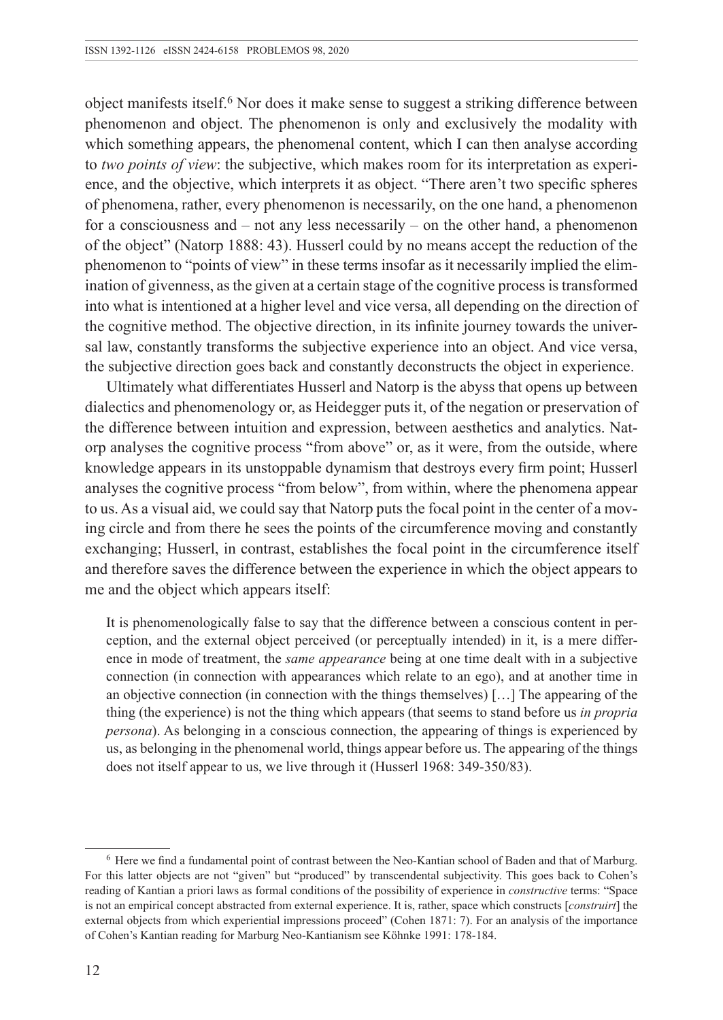object manifests itself.6 Nor does it make sense to suggest a striking difference between phenomenon and object. The phenomenon is only and exclusively the modality with which something appears, the phenomenal content, which I can then analyse according to *two points of view*: the subjective, which makes room for its interpretation as experience, and the objective, which interprets it as object. "There aren't two specific spheres of phenomena, rather, every phenomenon is necessarily, on the one hand, a phenomenon for a consciousness and – not any less necessarily – on the other hand, a phenomenon of the object" (Natorp 1888: 43). Husserl could by no means accept the reduction of the phenomenon to "points of view" in these terms insofar as it necessarily implied the elimination of givenness, as the given at a certain stage of the cognitive process is transformed into what is intentioned at a higher level and vice versa, all depending on the direction of the cognitive method. The objective direction, in its infinite journey towards the universal law, constantly transforms the subjective experience into an object. And vice versa, the subjective direction goes back and constantly deconstructs the object in experience.

Ultimately what differentiates Husserl and Natorp is the abyss that opens up between dialectics and phenomenology or, as Heidegger puts it, of the negation or preservation of the difference between intuition and expression, between aesthetics and analytics. Natorp analyses the cognitive process "from above" or, as it were, from the outside, where knowledge appears in its unstoppable dynamism that destroys every firm point; Husserl analyses the cognitive process "from below", from within, where the phenomena appear to us. As a visual aid, we could say that Natorp puts the focal point in the center of a moving circle and from there he sees the points of the circumference moving and constantly exchanging; Husserl, in contrast, establishes the focal point in the circumference itself and therefore saves the difference between the experience in which the object appears to me and the object which appears itself:

It is phenomenologically false to say that the difference between a conscious content in perception, and the external object perceived (or perceptually intended) in it, is a mere difference in mode of treatment, the *same appearance* being at one time dealt with in a subjective connection (in connection with appearances which relate to an ego), and at another time in an objective connection (in connection with the things themselves) […] The appearing of the thing (the experience) is not the thing which appears (that seems to stand before us *in propria persona*). As belonging in a conscious connection, the appearing of things is experienced by us, as belonging in the phenomenal world, things appear before us. The appearing of the things does not itself appear to us, we live through it (Husserl 1968: 349-350/83).

<sup>6</sup> Here we find a fundamental point of contrast between the Neo-Kantian school of Baden and that of Marburg. For this latter objects are not "given" but "produced" by transcendental subjectivity. This goes back to Cohen's reading of Kantian a priori laws as formal conditions of the possibility of experience in *constructive* terms: "Space is not an empirical concept abstracted from external experience. It is, rather, space which constructs [*construirt*] the external objects from which experiential impressions proceed" (Cohen 1871: 7). For an analysis of the importance of Cohen's Kantian reading for Marburg Neo-Kantianism see Köhnke 1991: 178-184.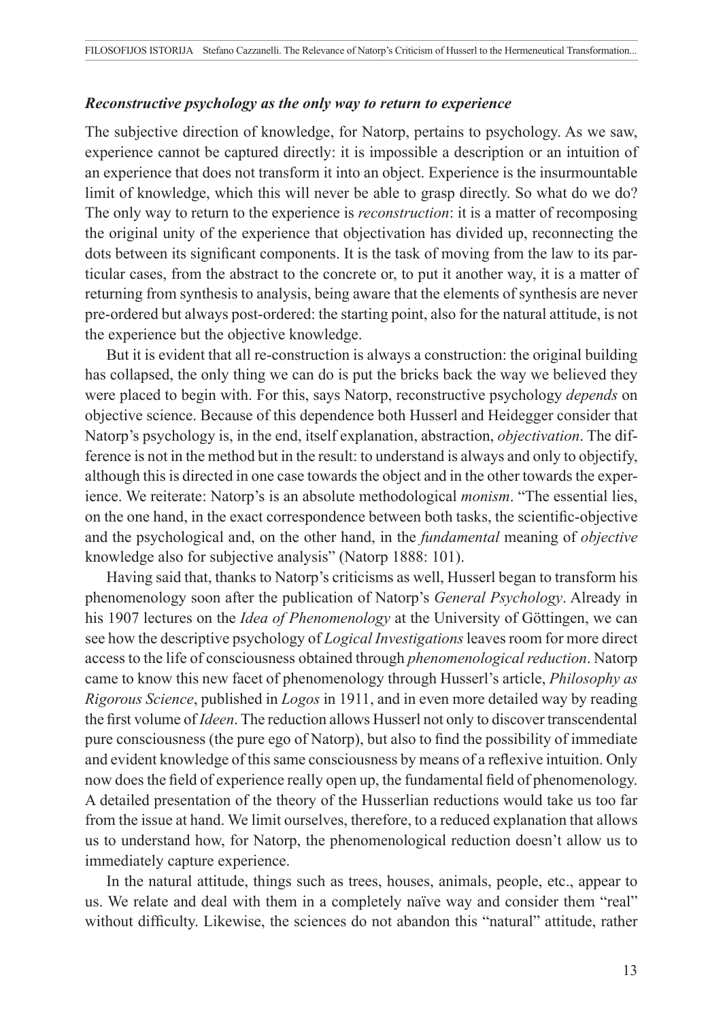#### *Reconstructive psychology as the only way to return to experience*

The subjective direction of knowledge, for Natorp, pertains to psychology. As we saw, experience cannot be captured directly: it is impossible a description or an intuition of an experience that does not transform it into an object. Experience is the insurmountable limit of knowledge, which this will never be able to grasp directly. So what do we do? The only way to return to the experience is *reconstruction*: it is a matter of recomposing the original unity of the experience that objectivation has divided up, reconnecting the dots between its significant components. It is the task of moving from the law to its particular cases, from the abstract to the concrete or, to put it another way, it is a matter of returning from synthesis to analysis, being aware that the elements of synthesis are never pre-ordered but always post-ordered: the starting point, also for the natural attitude, is not the experience but the objective knowledge.

But it is evident that all re-construction is always a construction: the original building has collapsed, the only thing we can do is put the bricks back the way we believed they were placed to begin with. For this, says Natorp, reconstructive psychology *depends* on objective science. Because of this dependence both Husserl and Heidegger consider that Natorp's psychology is, in the end, itself explanation, abstraction, *objectivation*. The difference is not in the method but in the result: to understand is always and only to objectify, although this is directed in one case towards the object and in the other towards the experience. We reiterate: Natorp's is an absolute methodological *monism*. "The essential lies, on the one hand, in the exact correspondence between both tasks, the scientific-objective and the psychological and, on the other hand, in the *fundamental* meaning of *objective* knowledge also for subjective analysis" (Natorp 1888: 101).

Having said that, thanks to Natorp's criticisms as well, Husserl began to transform his phenomenology soon after the publication of Natorp's *General Psychology*. Already in his 1907 lectures on the *Idea of Phenomenology* at the University of Göttingen, we can see how the descriptive psychology of *Logical Investigations* leaves room for more direct access to the life of consciousness obtained through *phenomenological reduction*. Natorp came to know this new facet of phenomenology through Husserl's article, *Philosophy as Rigorous Science*, published in *Logos* in 1911, and in even more detailed way by reading the first volume of *Ideen*. The reduction allows Husserl not only to discover transcendental pure consciousness (the pure ego of Natorp), but also to find the possibility of immediate and evident knowledge of this same consciousness by means of a reflexive intuition. Only now does the field of experience really open up, the fundamental field of phenomenology. A detailed presentation of the theory of the Husserlian reductions would take us too far from the issue at hand. We limit ourselves, therefore, to a reduced explanation that allows us to understand how, for Natorp, the phenomenological reduction doesn't allow us to immediately capture experience.

In the natural attitude, things such as trees, houses, animals, people, etc., appear to us. We relate and deal with them in a completely naïve way and consider them "real" without difficulty. Likewise, the sciences do not abandon this "natural" attitude, rather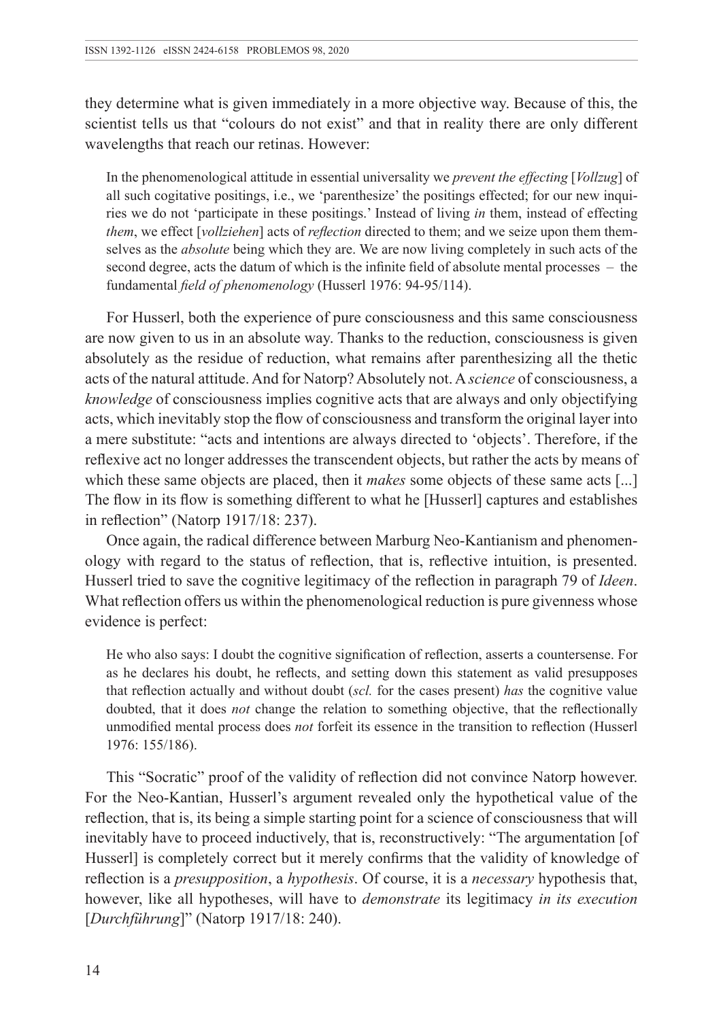they determine what is given immediately in a more objective way. Because of this, the scientist tells us that "colours do not exist" and that in reality there are only different wavelengths that reach our retinas. However:

In the phenomenological attitude in essential universality we *prevent the effecting* [*Vollzug*] of all such cogitative positings, i.e., we 'parenthesize' the positings effected; for our new inquiries we do not 'participate in these positings.' Instead of living *in* them, instead of effecting *them*, we effect [*vollziehen*] acts of *reflection* directed to them; and we seize upon them themselves as the *absolute* being which they are. We are now living completely in such acts of the second degree, acts the datum of which is the infinite field of absolute mental processes – the fundamental *field of phenomenology* (Husserl 1976: 94-95/114).

For Husserl, both the experience of pure consciousness and this same consciousness are now given to us in an absolute way. Thanks to the reduction, consciousness is given absolutely as the residue of reduction, what remains after parenthesizing all the thetic acts of the natural attitude. And for Natorp? Absolutely not. A *science* of consciousness, a *knowledge* of consciousness implies cognitive acts that are always and only objectifying acts, which inevitably stop the flow of consciousness and transform the original layer into a mere substitute: "acts and intentions are always directed to 'objects'. Therefore, if the reflexive act no longer addresses the transcendent objects, but rather the acts by means of which these same objects are placed, then it *makes* some objects of these same acts [...] The flow in its flow is something different to what he [Husserl] captures and establishes in reflection" (Natorp 1917/18: 237).

Once again, the radical difference between Marburg Neo-Kantianism and phenomenology with regard to the status of reflection, that is, reflective intuition, is presented. Husserl tried to save the cognitive legitimacy of the reflection in paragraph 79 of *Ideen*. What reflection offers us within the phenomenological reduction is pure givenness whose evidence is perfect:

He who also says: I doubt the cognitive signification of reflection, asserts a countersense. For as he declares his doubt, he reflects, and setting down this statement as valid presupposes that reflection actually and without doubt (*scl.* for the cases present) *has* the cognitive value doubted, that it does *not* change the relation to something objective, that the reflectionally unmodified mental process does *not* forfeit its essence in the transition to reflection (Husserl 1976: 155/186).

This "Socratic" proof of the validity of reflection did not convince Natorp however. For the Neo-Kantian, Husserl's argument revealed only the hypothetical value of the reflection, that is, its being a simple starting point for a science of consciousness that will inevitably have to proceed inductively, that is, reconstructively: "The argumentation [of Husserl] is completely correct but it merely confirms that the validity of knowledge of reflection is a *presupposition*, a *hypothesis*. Of course, it is a *necessary* hypothesis that, however, like all hypotheses, will have to *demonstrate* its legitimacy *in its execution* [*Durchführung*]" (Natorp 1917/18: 240).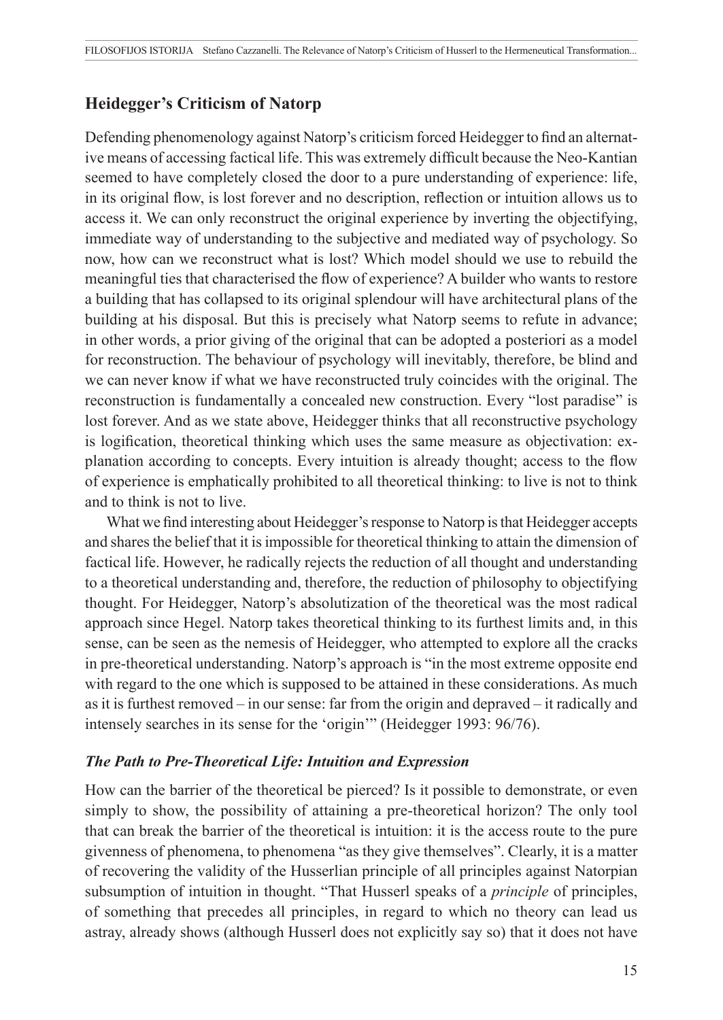# **Heidegger's Criticism of Natorp**

Defending phenomenology against Natorp's criticism forced Heidegger to find an alternative means of accessing factical life. This was extremely difficult because the Neo-Kantian seemed to have completely closed the door to a pure understanding of experience: life, in its original flow, is lost forever and no description, reflection or intuition allows us to access it. We can only reconstruct the original experience by inverting the objectifying, immediate way of understanding to the subjective and mediated way of psychology. So now, how can we reconstruct what is lost? Which model should we use to rebuild the meaningful ties that characterised the flow of experience? A builder who wants to restore a building that has collapsed to its original splendour will have architectural plans of the building at his disposal. But this is precisely what Natorp seems to refute in advance; in other words, a prior giving of the original that can be adopted a posteriori as a model for reconstruction. The behaviour of psychology will inevitably, therefore, be blind and we can never know if what we have reconstructed truly coincides with the original. The reconstruction is fundamentally a concealed new construction. Every "lost paradise" is lost forever. And as we state above, Heidegger thinks that all reconstructive psychology is logification, theoretical thinking which uses the same measure as objectivation: explanation according to concepts. Every intuition is already thought; access to the flow of experience is emphatically prohibited to all theoretical thinking: to live is not to think and to think is not to live.

What we find interesting about Heidegger's response to Natorp is that Heidegger accepts and shares the belief that it is impossible for theoretical thinking to attain the dimension of factical life. However, he radically rejects the reduction of all thought and understanding to a theoretical understanding and, therefore, the reduction of philosophy to objectifying thought. For Heidegger, Natorp's absolutization of the theoretical was the most radical approach since Hegel. Natorp takes theoretical thinking to its furthest limits and, in this sense, can be seen as the nemesis of Heidegger, who attempted to explore all the cracks in pre-theoretical understanding. Natorp's approach is "in the most extreme opposite end with regard to the one which is supposed to be attained in these considerations. As much as it is furthest removed – in our sense: far from the origin and depraved – it radically and intensely searches in its sense for the 'origin'" (Heidegger 1993: 96/76).

## *The Path to Pre-Theoretical Life: Intuition and Expression*

How can the barrier of the theoretical be pierced? Is it possible to demonstrate, or even simply to show, the possibility of attaining a pre-theoretical horizon? The only tool that can break the barrier of the theoretical is intuition: it is the access route to the pure givenness of phenomena, to phenomena "as they give themselves". Clearly, it is a matter of recovering the validity of the Husserlian principle of all principles against Natorpian subsumption of intuition in thought. "That Husserl speaks of a *principle* of principles, of something that precedes all principles, in regard to which no theory can lead us astray, already shows (although Husserl does not explicitly say so) that it does not have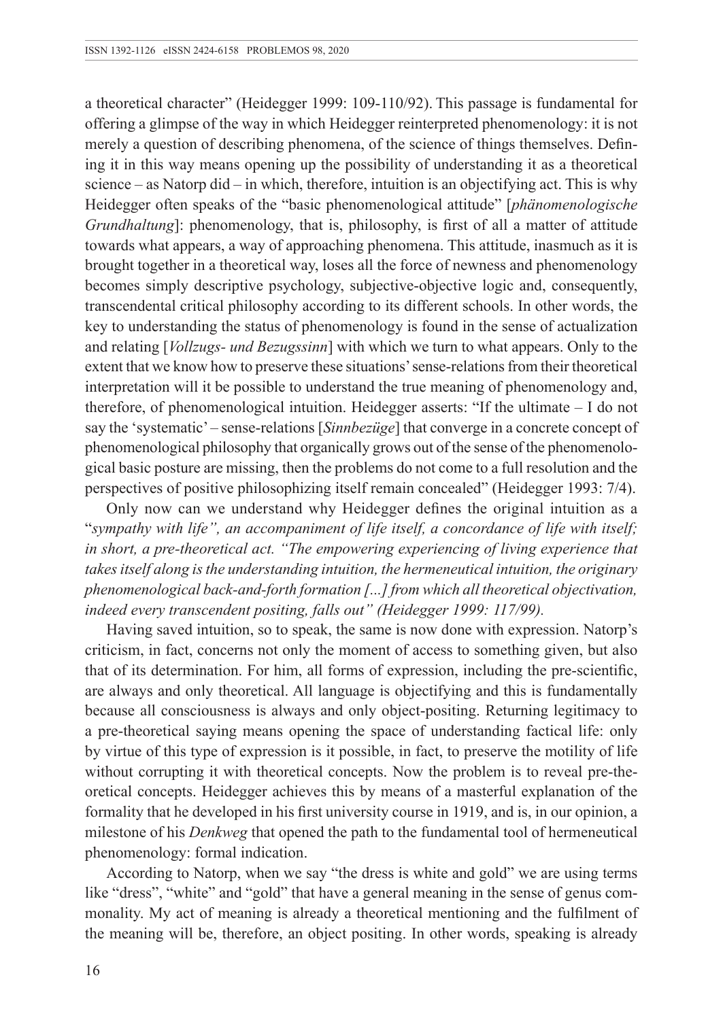a theoretical character" (Heidegger 1999: 109-110/92). This passage is fundamental for offering a glimpse of the way in which Heidegger reinterpreted phenomenology: it is not merely a question of describing phenomena, of the science of things themselves. Defining it in this way means opening up the possibility of understanding it as a theoretical science – as Natorp did – in which, therefore, intuition is an objectifying act. This is why Heidegger often speaks of the "basic phenomenological attitude" [*phänomenologische Grundhaltung*]: phenomenology, that is, philosophy, is first of all a matter of attitude towards what appears, a way of approaching phenomena. This attitude, inasmuch as it is brought together in a theoretical way, loses all the force of newness and phenomenology becomes simply descriptive psychology, subjective-objective logic and, consequently, transcendental critical philosophy according to its different schools. In other words, the key to understanding the status of phenomenology is found in the sense of actualization and relating [*Vollzugs- und Bezugssinn*] with which we turn to what appears. Only to the extent that we know how to preserve these situations' sense-relations from their theoretical interpretation will it be possible to understand the true meaning of phenomenology and, therefore, of phenomenological intuition. Heidegger asserts: "If the ultimate – I do not say the 'systematic'– sense-relations [*Sinnbezüge*] that converge in a concrete concept of phenomenological philosophy that organically grows out of the sense of the phenomenological basic posture are missing, then the problems do not come to a full resolution and the perspectives of positive philosophizing itself remain concealed" (Heidegger 1993: 7/4).

Only now can we understand why Heidegger defines the original intuition as a "*sympathy with life", an accompaniment of life itself, a concordance of life with itself; in short, a pre-theoretical act. "The empowering experiencing of living experience that takes itself along is the understanding intuition, the hermeneutical intuition, the originary phenomenological back-and-forth formation [...] from which all theoretical objectivation, indeed every transcendent positing, falls out" (Heidegger 1999: 117/99).*

Having saved intuition, so to speak, the same is now done with expression. Natorp's criticism, in fact, concerns not only the moment of access to something given, but also that of its determination. For him, all forms of expression, including the pre-scientific, are always and only theoretical. All language is objectifying and this is fundamentally because all consciousness is always and only object-positing. Returning legitimacy to a pre-theoretical saying means opening the space of understanding factical life: only by virtue of this type of expression is it possible, in fact, to preserve the motility of life without corrupting it with theoretical concepts. Now the problem is to reveal pre-theoretical concepts. Heidegger achieves this by means of a masterful explanation of the formality that he developed in his first university course in 1919, and is, in our opinion, a milestone of his *Denkweg* that opened the path to the fundamental tool of hermeneutical phenomenology: formal indication.

According to Natorp, when we say "the dress is white and gold" we are using terms like "dress", "white" and "gold" that have a general meaning in the sense of genus commonality. My act of meaning is already a theoretical mentioning and the fulfilment of the meaning will be, therefore, an object positing. In other words, speaking is already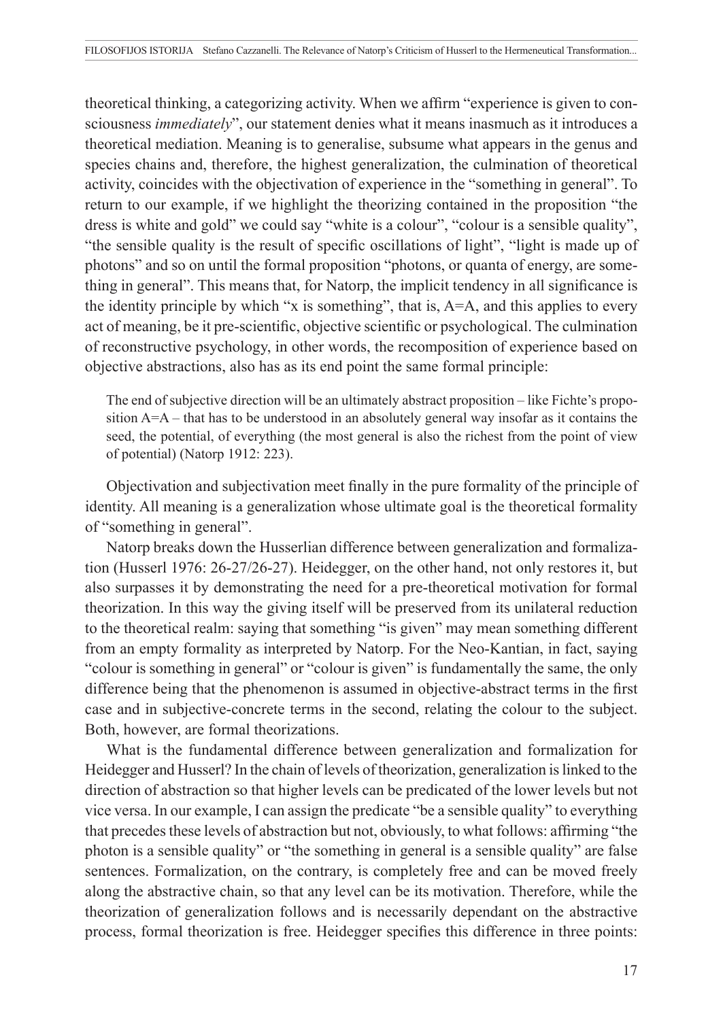theoretical thinking, a categorizing activity. When we affirm "experience is given to consciousness *immediately*", our statement denies what it means inasmuch as it introduces a theoretical mediation. Meaning is to generalise, subsume what appears in the genus and species chains and, therefore, the highest generalization, the culmination of theoretical activity, coincides with the objectivation of experience in the "something in general". To return to our example, if we highlight the theorizing contained in the proposition "the dress is white and gold" we could say "white is a colour", "colour is a sensible quality", "the sensible quality is the result of specific oscillations of light", "light is made up of photons" and so on until the formal proposition "photons, or quanta of energy, are something in general". This means that, for Natorp, the implicit tendency in all significance is the identity principle by which "x is something", that is, A=A, and this applies to every act of meaning, be it pre-scientific, objective scientific or psychological. The culmination of reconstructive psychology, in other words, the recomposition of experience based on objective abstractions, also has as its end point the same formal principle:

The end of subjective direction will be an ultimately abstract proposition – like Fichte's proposition A=A – that has to be understood in an absolutely general way insofar as it contains the seed, the potential, of everything (the most general is also the richest from the point of view of potential) (Natorp 1912: 223).

Objectivation and subjectivation meet finally in the pure formality of the principle of identity. All meaning is a generalization whose ultimate goal is the theoretical formality of "something in general".

Natorp breaks down the Husserlian difference between generalization and formalization (Husserl 1976: 26-27/26-27). Heidegger, on the other hand, not only restores it, but also surpasses it by demonstrating the need for a pre-theoretical motivation for formal theorization. In this way the giving itself will be preserved from its unilateral reduction to the theoretical realm: saying that something "is given" may mean something different from an empty formality as interpreted by Natorp. For the Neo-Kantian, in fact, saying "colour is something in general" or "colour is given" is fundamentally the same, the only difference being that the phenomenon is assumed in objective-abstract terms in the first case and in subjective-concrete terms in the second, relating the colour to the subject. Both, however, are formal theorizations.

What is the fundamental difference between generalization and formalization for Heidegger and Husserl? In the chain of levels of theorization, generalization is linked to the direction of abstraction so that higher levels can be predicated of the lower levels but not vice versa. In our example, I can assign the predicate "be a sensible quality" to everything that precedes these levels of abstraction but not, obviously, to what follows: affirming "the photon is a sensible quality" or "the something in general is a sensible quality" are false sentences. Formalization, on the contrary, is completely free and can be moved freely along the abstractive chain, so that any level can be its motivation. Therefore, while the theorization of generalization follows and is necessarily dependant on the abstractive process, formal theorization is free. Heidegger specifies this difference in three points: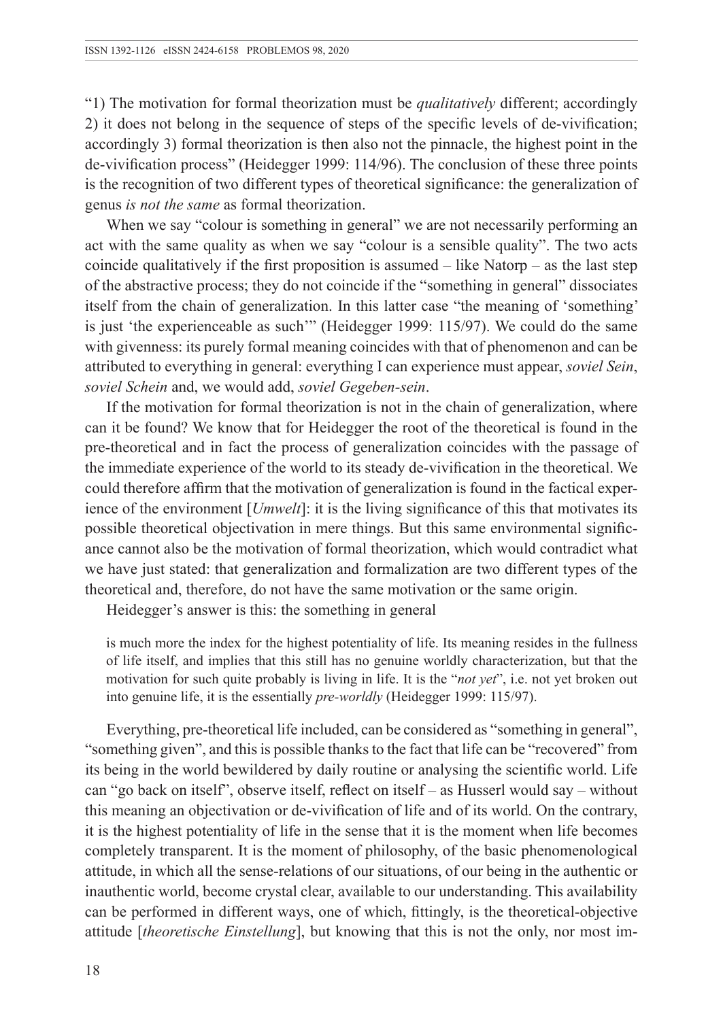"1) The motivation for formal theorization must be *qualitatively* different; accordingly 2) it does not belong in the sequence of steps of the specific levels of de-vivification; accordingly 3) formal theorization is then also not the pinnacle, the highest point in the de-vivification process" (Heidegger 1999: 114/96). The conclusion of these three points is the recognition of two different types of theoretical significance: the generalization of genus *is not the same* as formal theorization.

When we say "colour is something in general" we are not necessarily performing an act with the same quality as when we say "colour is a sensible quality". The two acts coincide qualitatively if the first proposition is assumed – like Natorp – as the last step of the abstractive process; they do not coincide if the "something in general" dissociates itself from the chain of generalization. In this latter case "the meaning of 'something' is just 'the experienceable as such'" (Heidegger 1999: 115/97). We could do the same with givenness: its purely formal meaning coincides with that of phenomenon and can be attributed to everything in general: everything I can experience must appear, *soviel Sein*, *soviel Schein* and, we would add, *soviel Gegeben-sein*.

If the motivation for formal theorization is not in the chain of generalization, where can it be found? We know that for Heidegger the root of the theoretical is found in the pre-theoretical and in fact the process of generalization coincides with the passage of the immediate experience of the world to its steady de-vivification in the theoretical. We could therefore affirm that the motivation of generalization is found in the factical experience of the environment [*Umwelt*]: it is the living significance of this that motivates its possible theoretical objectivation in mere things. But this same environmental significance cannot also be the motivation of formal theorization, which would contradict what we have just stated: that generalization and formalization are two different types of the theoretical and, therefore, do not have the same motivation or the same origin.

Heidegger's answer is this: the something in general

is much more the index for the highest potentiality of life. Its meaning resides in the fullness of life itself, and implies that this still has no genuine worldly characterization, but that the motivation for such quite probably is living in life. It is the "*not yet*", i.e. not yet broken out into genuine life, it is the essentially *pre-worldly* (Heidegger 1999: 115/97).

Everything, pre-theoretical life included, can be considered as "something in general", "something given", and this is possible thanks to the fact that life can be "recovered" from its being in the world bewildered by daily routine or analysing the scientific world. Life can "go back on itself", observe itself, reflect on itself – as Husserl would say – without this meaning an objectivation or de-vivification of life and of its world. On the contrary, it is the highest potentiality of life in the sense that it is the moment when life becomes completely transparent. It is the moment of philosophy, of the basic phenomenological attitude, in which all the sense-relations of our situations, of our being in the authentic or inauthentic world, become crystal clear, available to our understanding. This availability can be performed in different ways, one of which, fittingly, is the theoretical-objective attitude [*theoretische Einstellung*], but knowing that this is not the only, nor most im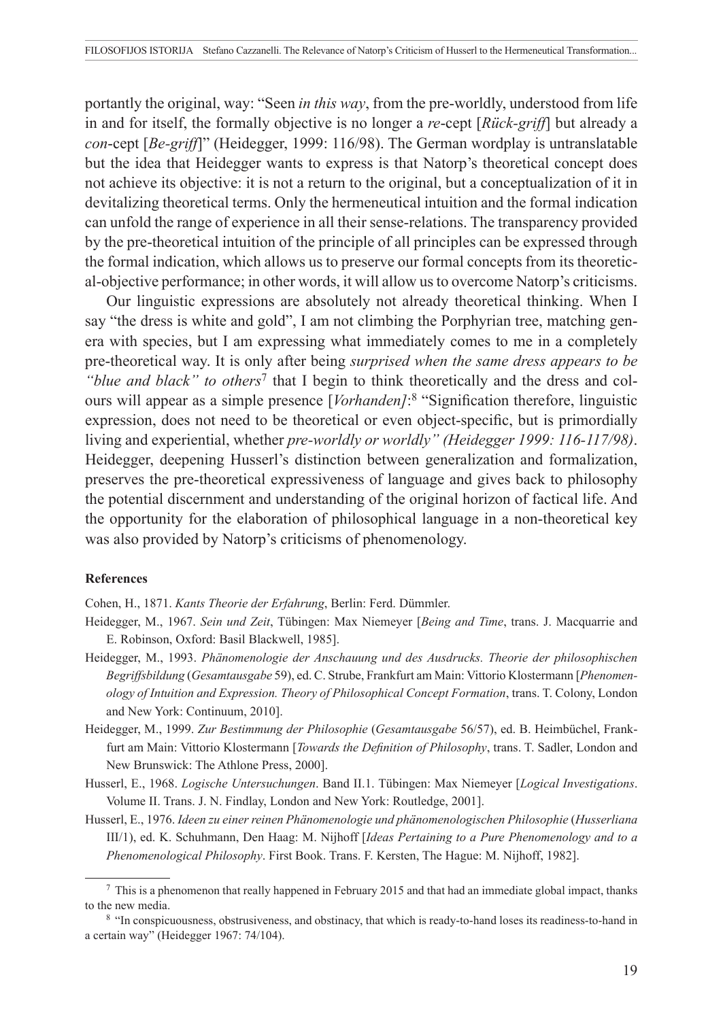portantly the original, way: "Seen *in this way*, from the pre-worldly, understood from life in and for itself, the formally objective is no longer a *re*-cept [*Rück-griff*] but already a *con*-cept [*Be-griff*]" (Heidegger, 1999: 116/98). The German wordplay is untranslatable but the idea that Heidegger wants to express is that Natorp's theoretical concept does not achieve its objective: it is not a return to the original, but a conceptualization of it in devitalizing theoretical terms. Only the hermeneutical intuition and the formal indication can unfold the range of experience in all their sense-relations. The transparency provided by the pre-theoretical intuition of the principle of all principles can be expressed through the formal indication, which allows us to preserve our formal concepts from its theoretical-objective performance; in other words, it will allow us to overcome Natorp's criticisms.

Our linguistic expressions are absolutely not already theoretical thinking. When I say "the dress is white and gold", I am not climbing the Porphyrian tree, matching genera with species, but I am expressing what immediately comes to me in a completely pre-theoretical way. It is only after being *surprised when the same dress appears to be "blue and black" to others*7 that I begin to think theoretically and the dress and colours will appear as a simple presence [*Vorhanden]*: <sup>8</sup> "Signification therefore, linguistic expression, does not need to be theoretical or even object-specific, but is primordially living and experiential, whether *pre-worldly or worldly" (Heidegger 1999: 116-117/98)*. Heidegger, deepening Husserl's distinction between generalization and formalization, preserves the pre-theoretical expressiveness of language and gives back to philosophy the potential discernment and understanding of the original horizon of factical life. And the opportunity for the elaboration of philosophical language in a non-theoretical key was also provided by Natorp's criticisms of phenomenology.

#### **References**

Cohen, H., 1871. *Kants Theorie der Erfahrung*, Berlin: Ferd. Dümmler.

- Heidegger, M., 1967. *Sein und Zeit*, Tübingen: Max Niemeyer [*Being and Time*, trans. J. Macquarrie and E. Robinson, Oxford: Basil Blackwell, 1985].
- Heidegger, M., 1993. *Phänomenologie der Anschauung und des Ausdrucks. Theorie der philosophischen Begriffsbildung* (*Gesamtausgabe* 59), ed. C. Strube, Frankfurt am Main: Vittorio Klostermann [*Phenomenology of Intuition and Expression. Theory of Philosophical Concept Formation*, trans. T. Colony, London and New York: Continuum, 2010].
- Heidegger, M., 1999. *Zur Bestimmung der Philosophie* (*Gesamtausgabe* 56/57), ed. B. Heimbüchel, Frankfurt am Main: Vittorio Klostermann [*Towards the Definition of Philosophy*, trans. T. Sadler, London and New Brunswick: The Athlone Press, 2000].
- Husserl, E., 1968. *Logische Untersuchungen*. Band II.1. Tübingen: Max Niemeyer [*Logical Investigations*. Volume II. Trans. J. N. Findlay, London and New York: Routledge, 2001].
- Husserl, E., 1976. *Ideen zu einer reinen Phänomenologie und phänomenologischen Philosophie* (*Husserliana*  III/1), ed. K. Schuhmann, Den Haag: M. Nijhoff [*Ideas Pertaining to a Pure Phenomenology and to a Phenomenological Philosophy*. First Book. Trans. F. Kersten, The Hague: M. Nijhoff, 1982].

<sup>7</sup> This is a phenomenon that really happened in February 2015 and that had an immediate global impact, thanks to the new media.<br><sup>8</sup> "In conspicuousness, obstrusiveness, and obstinacy, that which is ready-to-hand loses its readiness-to-hand in

a certain way" (Heidegger 1967: 74/104).